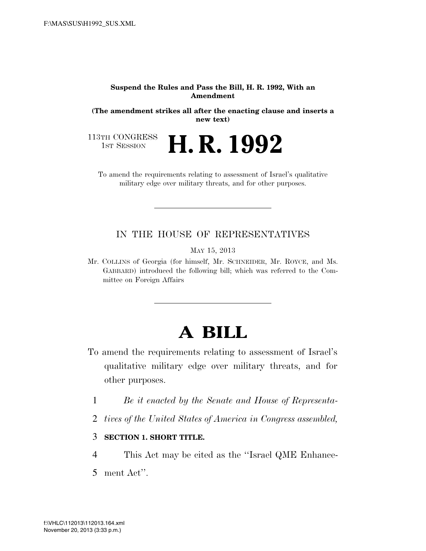## **Suspend the Rules and Pass the Bill, H. R. 1992, With an Amendment**

**(The amendment strikes all after the enacting clause and inserts a new text)** 

113TH CONGRESS<br>1st Session

H. R. 1992

To amend the requirements relating to assessment of Israel's qualitative military edge over military threats, and for other purposes.

## IN THE HOUSE OF REPRESENTATIVES

MAY 15, 2013

Mr. COLLINS of Georgia (for himself, Mr. SCHNEIDER, Mr. ROYCE, and Ms. GABBARD) introduced the following bill; which was referred to the Committee on Foreign Affairs

## **A BILL**

- To amend the requirements relating to assessment of Israel's qualitative military edge over military threats, and for other purposes.
	- 1 *Be it enacted by the Senate and House of Representa-*
	- 2 *tives of the United States of America in Congress assembled,*

## 3 **SECTION 1. SHORT TITLE.**

- 4 This Act may be cited as the ''Israel QME Enhance-
- 5 ment Act''.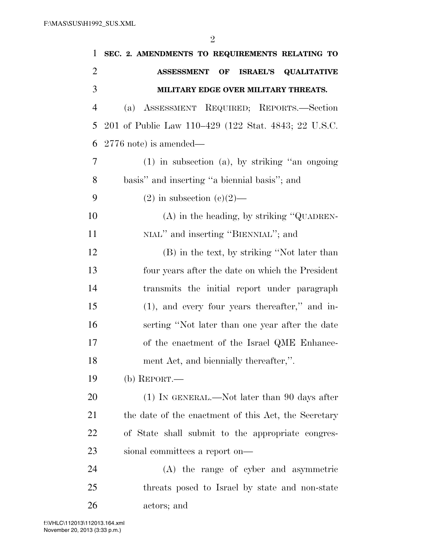| $\mathbf{1}$   | SEC. 2. AMENDMENTS TO REQUIREMENTS RELATING TO       |
|----------------|------------------------------------------------------|
| $\overline{2}$ | <b>ASSESSMENT OF</b><br><b>ISRAEL'S QUALITATIVE</b>  |
| 3              | MILITARY EDGE OVER MILITARY THREATS.                 |
| $\overline{4}$ | ASSESSMENT REQUIRED; REPORTS.—Section<br>(a)         |
| 5              | 201 of Public Law 110–429 (122 Stat. 4843; 22 U.S.C. |
| 6              | $2776$ note) is amended—                             |
| 7              | $(1)$ in subsection $(a)$ , by striking "an ongoing" |
| 8              | basis" and inserting "a biennial basis"; and         |
| 9              | $(2)$ in subsection $(e)(2)$ —                       |
| 10             | $(A)$ in the heading, by striking "QUADREN-          |
| 11             | NIAL" and inserting "BIENNIAL"; and                  |
| 12             | (B) in the text, by striking "Not later than         |
| 13             | four years after the date on which the President     |
| 14             | transmits the initial report under paragraph         |
| 15             | $(1)$ , and every four years thereafter," and in-    |
| 16             | serting "Not later than one year after the date      |
| 17             | of the enactment of the Israel QME Enhance-          |
| 18             | ment Act, and biennially thereafter,".               |
| 19             | (b) $REPORT.$ —                                      |
| 20             | $(1)$ In GENERAL.—Not later than 90 days after       |
| 21             | the date of the enactment of this Act, the Secretary |
| 22             | of State shall submit to the appropriate congres-    |
| 23             | sional committees a report on—                       |
| 24             | (A) the range of cyber and asymmetric                |
| 25             | threats posed to Israel by state and non-state       |
| 26             | actors; and                                          |